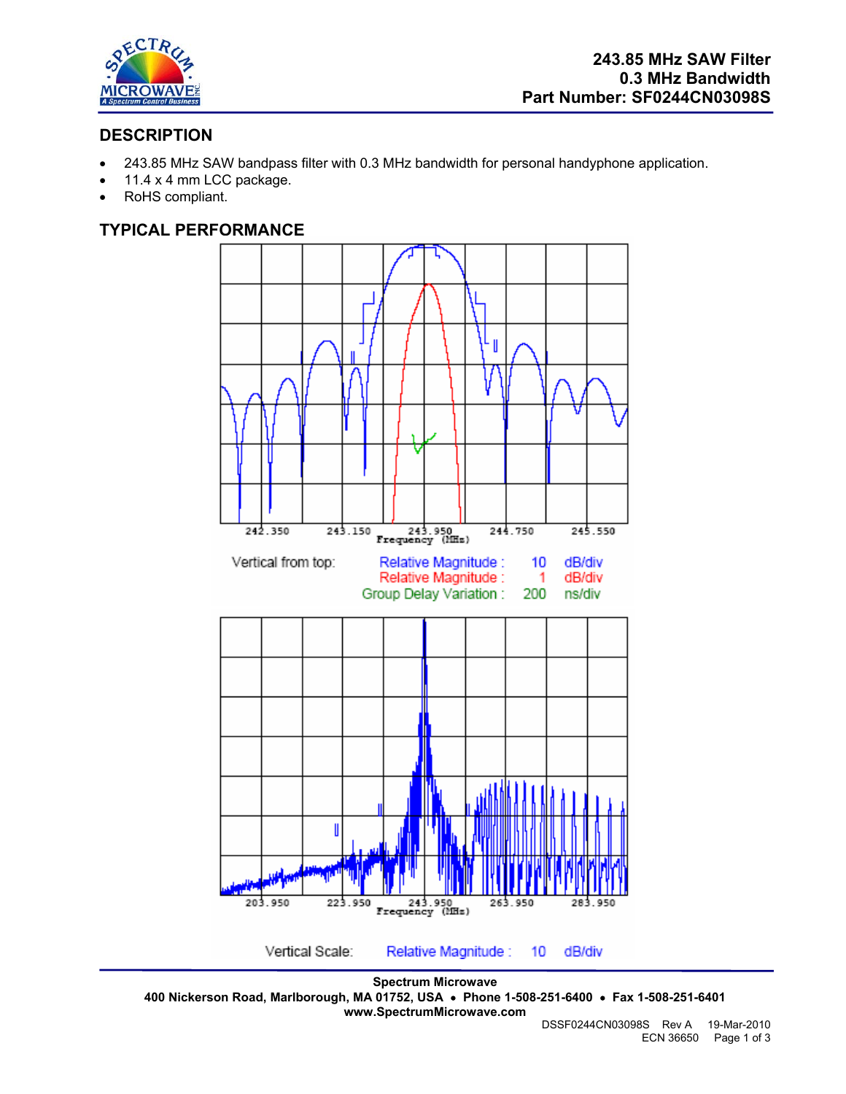

# **DESCRIPTION**

- 243.85 MHz SAW bandpass filter with 0.3 MHz bandwidth for personal handyphone application.
- 11.4 x 4 mm LCC package.
- RoHS compliant.

## **TYPICAL PERFORMANCE**



**Spectrum Microwave 400 Nickerson Road, Marlborough, MA 01752, USA** • **Phone 1-508-251-6400** • **Fax 1-508-251-6401 www.SpectrumMicrowave.com**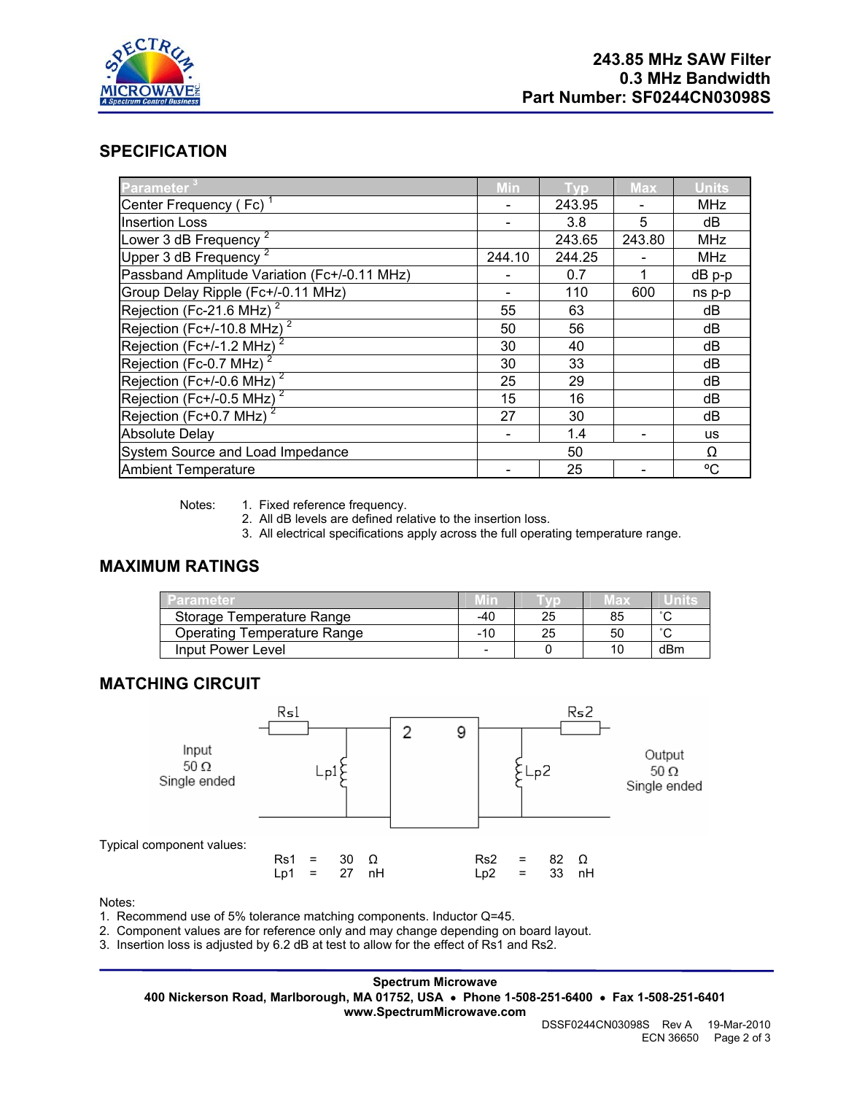

#### **SPECIFICATION**

| Parameter                                    | Min    | <b>Tvp</b> | <b>Max</b> | <b>Units</b> |
|----------------------------------------------|--------|------------|------------|--------------|
| Center Frequency (Fc) <sup>1</sup>           |        | 243.95     |            | <b>MHz</b>   |
| <b>Insertion Loss</b>                        |        | 3.8        | 5          | dB           |
| Lower 3 dB Frequency <sup>2</sup>            |        | 243.65     | 243.80     | <b>MHz</b>   |
| Upper 3 dB Frequency                         | 244.10 | 244.25     |            | <b>MHz</b>   |
| Passband Amplitude Variation (Fc+/-0.11 MHz) |        | 0.7        | 1          | dB p-p       |
| Group Delay Ripple (Fc+/-0.11 MHz)           |        | 110        | 600        | ns p-p       |
| Rejection (Fc-21.6 MHz) <sup>2</sup>         | 55     | 63         |            | dB           |
| Rejection (Fc+/-10.8 MHz) <sup>2</sup>       | 50     | 56         |            | dB           |
| Rejection (Fc+/-1.2 MHz) <sup>2</sup>        | 30     | 40         |            | dB           |
| Rejection (Fc-0.7 MHz)                       | 30     | 33         |            | dB           |
| Rejection (Fc+/-0.6 MHz) $^2$                | 25     | 29         |            | dB           |
| Rejection (Fc+/-0.5 MHz) <sup>2</sup>        | 15     | 16         |            | dB           |
| Rejection ( $Fc+0.7$ MHz) <sup>2</sup>       | 27     | 30         |            | dB           |
| <b>Absolute Delay</b>                        |        | 1.4        |            | us           |
| System Source and Load Impedance             |        | 50         |            | Ω            |
| <b>Ambient Temperature</b>                   |        | 25         |            | °C           |

Notes: 1. Fixed reference frequency.

2. All dB levels are defined relative to the insertion loss.

3. All electrical specifications apply across the full operating temperature range.

## **MAXIMUM RATINGS**

| Parameter                          |                          |    | IED. |        |
|------------------------------------|--------------------------|----|------|--------|
| Storage Temperature Range          | -40                      | 25 | 85   | $\sim$ |
| <b>Operating Temperature Range</b> | $-10$                    | 25 | 50   | $\sim$ |
| Input Power Level                  | $\overline{\phantom{a}}$ |    | 10   | dBm    |

### **MATCHING CIRCUIT**



Notes:

1. Recommend use of 5% tolerance matching components. Inductor Q=45.

2. Component values are for reference only and may change depending on board layout.

3. Insertion loss is adjusted by 6.2 dB at test to allow for the effect of Rs1 and Rs2.

**Spectrum Microwave 400 Nickerson Road, Marlborough, MA 01752, USA** • **Phone 1-508-251-6400** • **Fax 1-508-251-6401 www.SpectrumMicrowave.com**